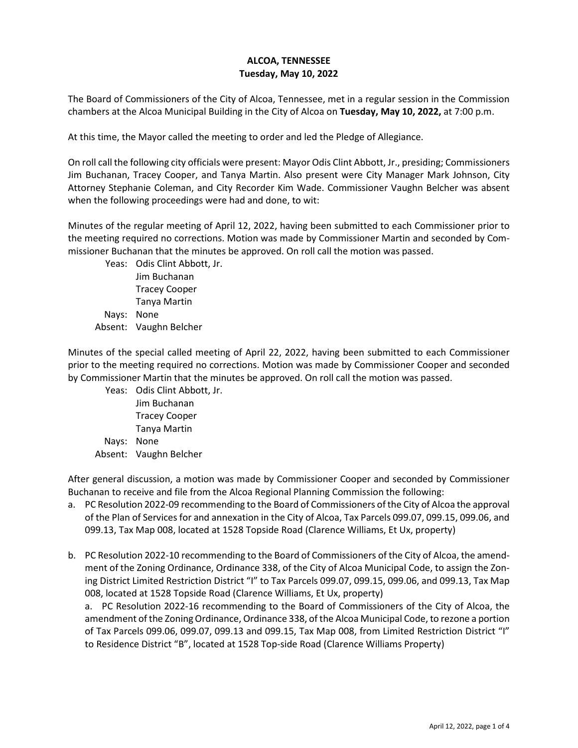## **ALCOA, TENNESSEE Tuesday, May 10, 2022**

The Board of Commissioners of the City of Alcoa, Tennessee, met in a regular session in the Commission chambers at the Alcoa Municipal Building in the City of Alcoa on **Tuesday, May 10, 2022,** at 7:00 p.m.

At this time, the Mayor called the meeting to order and led the Pledge of Allegiance.

On roll call the following city officials were present: Mayor Odis Clint Abbott, Jr., presiding; Commissioners Jim Buchanan, Tracey Cooper, and Tanya Martin. Also present were City Manager Mark Johnson, City Attorney Stephanie Coleman, and City Recorder Kim Wade. Commissioner Vaughn Belcher was absent when the following proceedings were had and done, to wit:

Minutes of the regular meeting of April 12, 2022, having been submitted to each Commissioner prior to the meeting required no corrections. Motion was made by Commissioner Martin and seconded by Commissioner Buchanan that the minutes be approved. On roll call the motion was passed.

Yeas: Odis Clint Abbott, Jr. Jim Buchanan Tracey Cooper Tanya Martin Nays: None Absent: Vaughn Belcher

Minutes of the special called meeting of April 22, 2022, having been submitted to each Commissioner prior to the meeting required no corrections. Motion was made by Commissioner Cooper and seconded by Commissioner Martin that the minutes be approved. On roll call the motion was passed.

Yeas: Odis Clint Abbott, Jr. Jim Buchanan Tracey Cooper Tanya Martin Nays: None Absent: Vaughn Belcher

After general discussion, a motion was made by Commissioner Cooper and seconded by Commissioner Buchanan to receive and file from the Alcoa Regional Planning Commission the following:

- a. PC Resolution 2022-09 recommending to the Board of Commissioners of the City of Alcoa the approval of the Plan of Services for and annexation in the City of Alcoa, Tax Parcels 099.07, 099.15, 099.06, and 099.13, Tax Map 008, located at 1528 Topside Road (Clarence Williams, Et Ux, property)
- b. PC Resolution 2022-10 recommending to the Board of Commissioners of the City of Alcoa, the amendment of the Zoning Ordinance, Ordinance 338, of the City of Alcoa Municipal Code, to assign the Zoning District Limited Restriction District "I" to Tax Parcels 099.07, 099.15, 099.06, and 099.13, Tax Map 008, located at 1528 Topside Road (Clarence Williams, Et Ux, property)

a. PC Resolution 2022-16 recommending to the Board of Commissioners of the City of Alcoa, the amendment of the Zoning Ordinance, Ordinance 338, of the Alcoa Municipal Code, to rezone a portion of Tax Parcels 099.06, 099.07, 099.13 and 099.15, Tax Map 008, from Limited Restriction District "I" to Residence District "B", located at 1528 Top-side Road (Clarence Williams Property)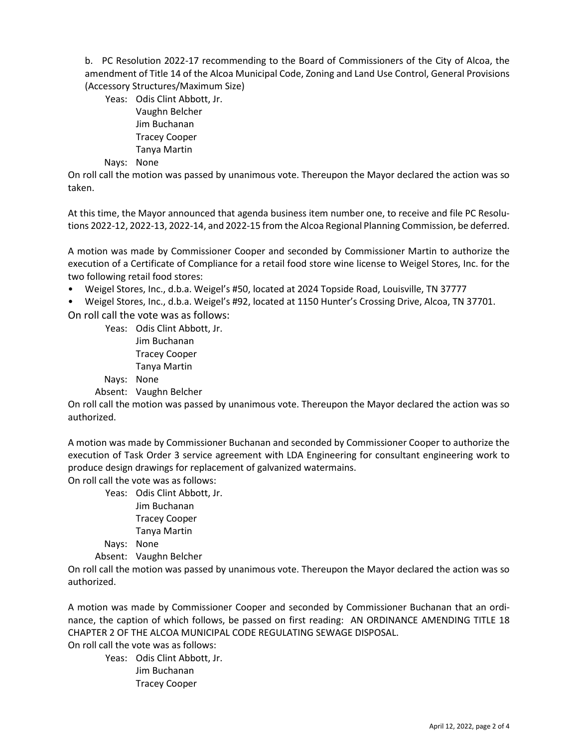b. PC Resolution 2022-17 recommending to the Board of Commissioners of the City of Alcoa, the amendment of Title 14 of the Alcoa Municipal Code, Zoning and Land Use Control, General Provisions (Accessory Structures/Maximum Size)

Yeas: Odis Clint Abbott, Jr. Vaughn Belcher Jim Buchanan Tracey Cooper Tanya Martin

Nays: None

On roll call the motion was passed by unanimous vote. Thereupon the Mayor declared the action was so taken.

At this time, the Mayor announced that agenda business item number one, to receive and file PC Resolutions 2022-12, 2022-13, 2022-14, and 2022-15 from the Alcoa Regional Planning Commission, be deferred.

A motion was made by Commissioner Cooper and seconded by Commissioner Martin to authorize the execution of a Certificate of Compliance for a retail food store wine license to Weigel Stores, Inc. for the two following retail food stores:

• Weigel Stores, Inc., d.b.a. Weigel's #50, located at 2024 Topside Road, Louisville, TN 37777

• Weigel Stores, Inc., d.b.a. Weigel's #92, located at 1150 Hunter's Crossing Drive, Alcoa, TN 37701.

On roll call the vote was as follows:

Yeas: Odis Clint Abbott, Jr.

Jim Buchanan Tracey Cooper Tanya Martin

Nays: None

Absent: Vaughn Belcher

On roll call the motion was passed by unanimous vote. Thereupon the Mayor declared the action was so authorized.

A motion was made by Commissioner Buchanan and seconded by Commissioner Cooper to authorize the execution of Task Order 3 service agreement with LDA Engineering for consultant engineering work to produce design drawings for replacement of galvanized watermains.

On roll call the vote was as follows:

Yeas: Odis Clint Abbott, Jr. Jim Buchanan Tracey Cooper Tanya Martin

Nays: None

Absent: Vaughn Belcher

On roll call the motion was passed by unanimous vote. Thereupon the Mayor declared the action was so authorized.

A motion was made by Commissioner Cooper and seconded by Commissioner Buchanan that an ordinance, the caption of which follows, be passed on first reading: AN ORDINANCE AMENDING TITLE 18 CHAPTER 2 OF THE ALCOA MUNICIPAL CODE REGULATING SEWAGE DISPOSAL.

On roll call the vote was as follows:

Yeas: Odis Clint Abbott, Jr. Jim Buchanan Tracey Cooper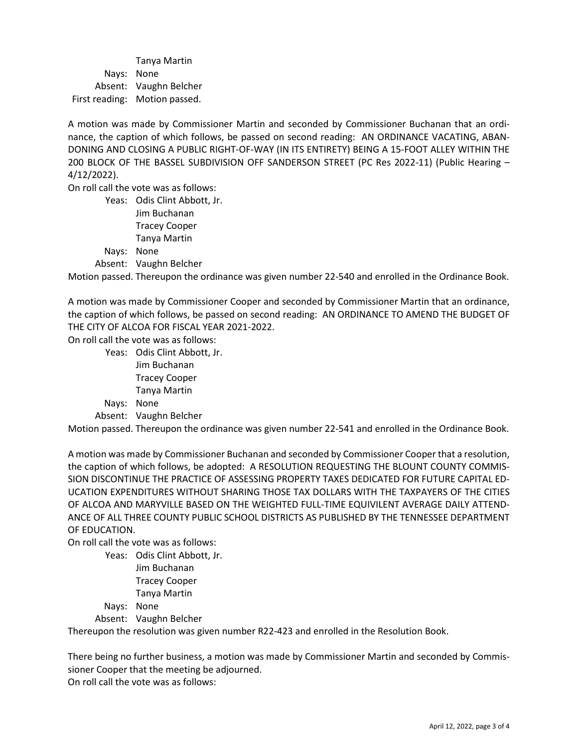Tanya Martin Nays: None Absent: Vaughn Belcher First reading: Motion passed.

A motion was made by Commissioner Martin and seconded by Commissioner Buchanan that an ordinance, the caption of which follows, be passed on second reading: AN ORDINANCE VACATING, ABAN-DONING AND CLOSING A PUBLIC RIGHT-OF-WAY (IN ITS ENTIRETY) BEING A 15-FOOT ALLEY WITHIN THE 200 BLOCK OF THE BASSEL SUBDIVISION OFF SANDERSON STREET (PC Res 2022-11) (Public Hearing – 4/12/2022).

On roll call the vote was as follows:

Yeas: Odis Clint Abbott, Jr. Jim Buchanan Tracey Cooper Tanya Martin

Nays: None

Absent: Vaughn Belcher

Motion passed. Thereupon the ordinance was given number 22-540 and enrolled in the Ordinance Book.

A motion was made by Commissioner Cooper and seconded by Commissioner Martin that an ordinance, the caption of which follows, be passed on second reading: AN ORDINANCE TO AMEND THE BUDGET OF THE CITY OF ALCOA FOR FISCAL YEAR 2021-2022.

On roll call the vote was as follows:

Yeas: Odis Clint Abbott, Jr. Jim Buchanan Tracey Cooper Tanya Martin Nays: None Absent: Vaughn Belcher

Motion passed. Thereupon the ordinance was given number 22-541 and enrolled in the Ordinance Book.

A motion was made by Commissioner Buchanan and seconded by Commissioner Cooper that a resolution, the caption of which follows, be adopted: A RESOLUTION REQUESTING THE BLOUNT COUNTY COMMIS-SION DISCONTINUE THE PRACTICE OF ASSESSING PROPERTY TAXES DEDICATED FOR FUTURE CAPITAL ED-UCATION EXPENDITURES WITHOUT SHARING THOSE TAX DOLLARS WITH THE TAXPAYERS OF THE CITIES OF ALCOA AND MARYVILLE BASED ON THE WEIGHTED FULL-TIME EQUIVILENT AVERAGE DAILY ATTEND-ANCE OF ALL THREE COUNTY PUBLIC SCHOOL DISTRICTS AS PUBLISHED BY THE TENNESSEE DEPARTMENT OF EDUCATION.

On roll call the vote was as follows:

Yeas: Odis Clint Abbott, Jr.

Jim Buchanan Tracey Cooper

Tanya Martin

Nays: None

Absent: Vaughn Belcher

Thereupon the resolution was given number R22-423 and enrolled in the Resolution Book.

There being no further business, a motion was made by Commissioner Martin and seconded by Commissioner Cooper that the meeting be adjourned. On roll call the vote was as follows: